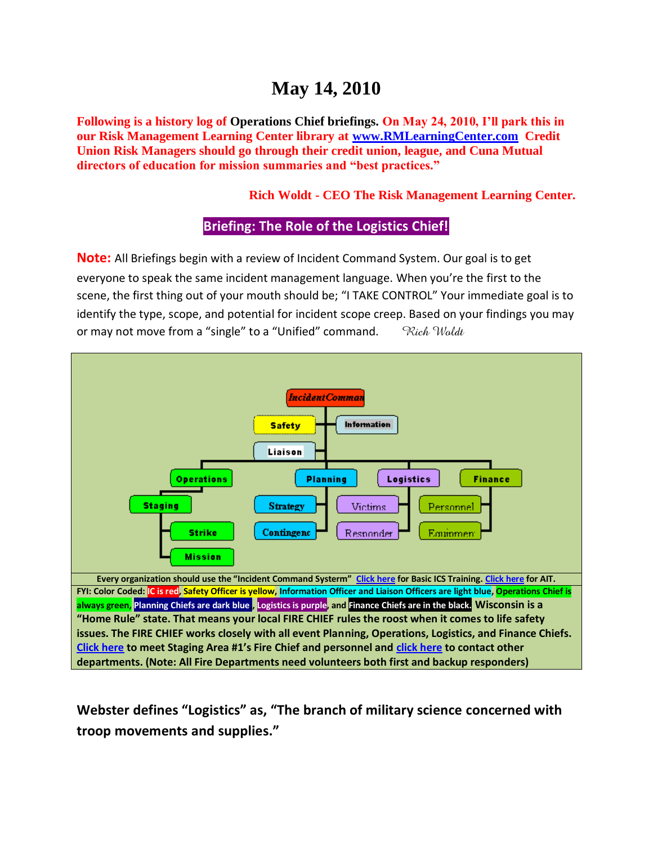# **May 14, 2010**

**Following is a history log of Operations Chief briefings. On May 24, 2010, I'll park this in our Risk Management Learning Center library at [www.RMLearningCenter.com](http://www.rmlearningcenter.com/) Credit Union Risk Managers should go through their credit union, league, and Cuna Mutual directors of education for mission summaries and "best practices."** 

**Rich Woldt - CEO The Risk Management Learning Center.** 

#### **Briefing: The Role of the Logistics Chief!**

**Note:** All Briefings begin with a review of Incident Command System. Our goal is to get everyone to speak the same incident management language. When you're the first to the scene, the first thing out of your mouth should be; "I TAKE CONTROL" Your immediate goal is to identify the type, scope, and potential for incident scope creep. Based on your findings you may or may not move from a "single" to a "Unified" command. *Rich Woldt* 



**Webster defines "Logistics" as, "The branch of military science concerned with troop movements and supplies."**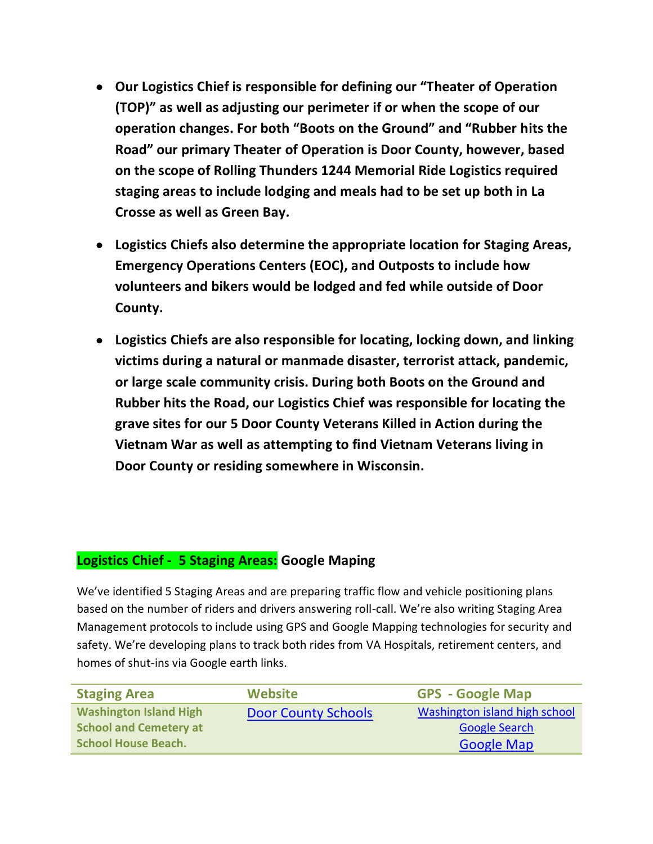- **Our Logistics Chief is responsible for defining our "Theater of Operation (TOP)" as well as adjusting our perimeter if or when the scope of our operation changes. For both "Boots on the Ground" and "Rubber hits the Road" our primary Theater of Operation is Door County, however, based on the scope of Rolling Thunders 1244 Memorial Ride Logistics required staging areas to include lodging and meals had to be set up both in La Crosse as well as Green Bay.**
- **Logistics Chiefs also determine the appropriate location for Staging Areas, Emergency Operations Centers (EOC), and Outposts to include how volunteers and bikers would be lodged and fed while outside of Door County.**
- **Logistics Chiefs are also responsible for locating, locking down, and linking victims during a natural or manmade disaster, terrorist attack, pandemic, or large scale community crisis. During both Boots on the Ground and Rubber hits the Road, our Logistics Chief was responsible for locating the grave sites for our 5 Door County Veterans Killed in Action during the Vietnam War as well as attempting to find Vietnam Veterans living in Door County or residing somewhere in Wisconsin.**

## **Logistics Chief - 5 Staging Areas: Google Maping**

We've identified 5 Staging Areas and are preparing traffic flow and vehicle positioning plans based on the number of riders and drivers answering roll-call. We're also writing Staging Area Management protocols to include using GPS and Google Mapping technologies for security and safety. We're developing plans to track both rides from VA Hospitals, retirement centers, and homes of shut-ins via Google earth links.

| <b>Staging Area</b>           | <b>Website</b>             | <b>GPS - Google Map</b>       |  |
|-------------------------------|----------------------------|-------------------------------|--|
| <b>Washington Island High</b> | <b>Door County Schools</b> | Washington island high school |  |
| <b>School and Cemetery at</b> |                            | <b>Google Search</b>          |  |
| <b>School House Beach.</b>    |                            | <b>Google Map</b>             |  |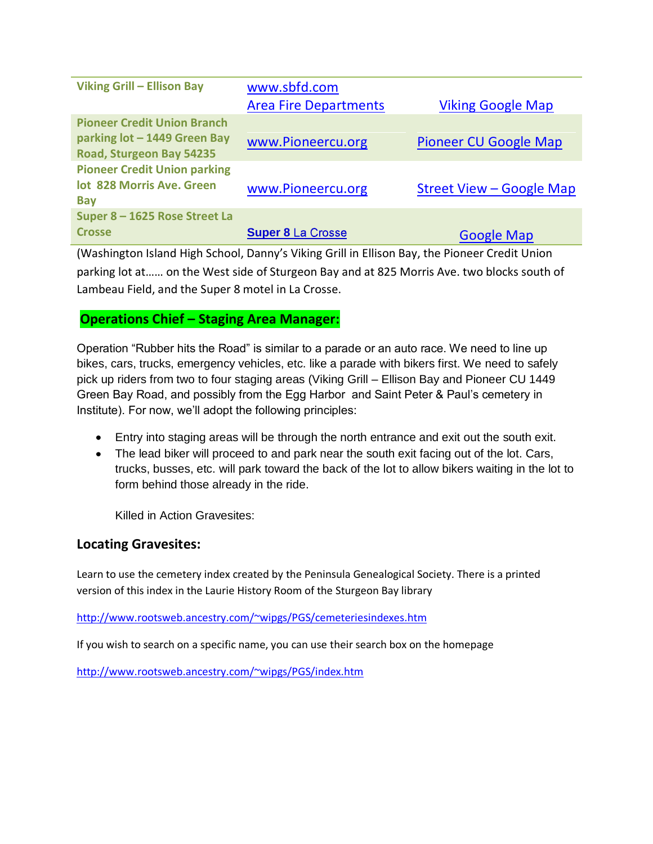| <b>Viking Grill - Ellison Bay</b>                                                              | www.sbfd.com                 |                              |  |
|------------------------------------------------------------------------------------------------|------------------------------|------------------------------|--|
|                                                                                                | <b>Area Fire Departments</b> | <b>Viking Google Map</b>     |  |
| <b>Pioneer Credit Union Branch</b><br>parking lot - 1449 Green Bay<br>Road, Sturgeon Bay 54235 | www.Pioneercu.org            | <b>Pioneer CU Google Map</b> |  |
| <b>Pioneer Credit Union parking</b><br>lot 828 Morris Ave. Green<br><b>Bay</b>                 | www.Pioneercu.org            | Street View – Google Map     |  |
| Super 8 - 1625 Rose Street La<br><b>Crosse</b>                                                 | <b>Super 8 La Crosse</b>     | <b>Google Map</b>            |  |

(Washington Island High School, Danny's Viking Grill in Ellison Bay, the Pioneer Credit Union parking lot at…… on the West side of Sturgeon Bay and at 825 Morris Ave. two blocks south of Lambeau Field, and the Super 8 motel in La Crosse.

### **Operations Chief – Staging Area Manager:**

Operation "Rubber hits the Road" is similar to a parade or an auto race. We need to line up bikes, cars, trucks, emergency vehicles, etc. like a parade with bikers first. We need to safely pick up riders from two to four staging areas (Viking Grill – Ellison Bay and Pioneer CU 1449 Green Bay Road, and possibly from the Egg Harbor and Saint Peter & Paul's cemetery in Institute). For now, we'll adopt the following principles:

- Entry into staging areas will be through the north entrance and exit out the south exit.
- The lead biker will proceed to and park near the south exit facing out of the lot. Cars, trucks, busses, etc. will park toward the back of the lot to allow bikers waiting in the lot to form behind those already in the ride.

Killed in Action Gravesites:

#### **Locating Gravesites:**

Learn to use the cemetery index created by the Peninsula Genealogical Society. There is a printed version of this index in the Laurie History Room of the Sturgeon Bay library

<http://www.rootsweb.ancestry.com/~wipgs/PGS/cemeteriesindexes.htm>

If you wish to search on a specific name, you can use their search box on the homepage

<http://www.rootsweb.ancestry.com/~wipgs/PGS/index.htm>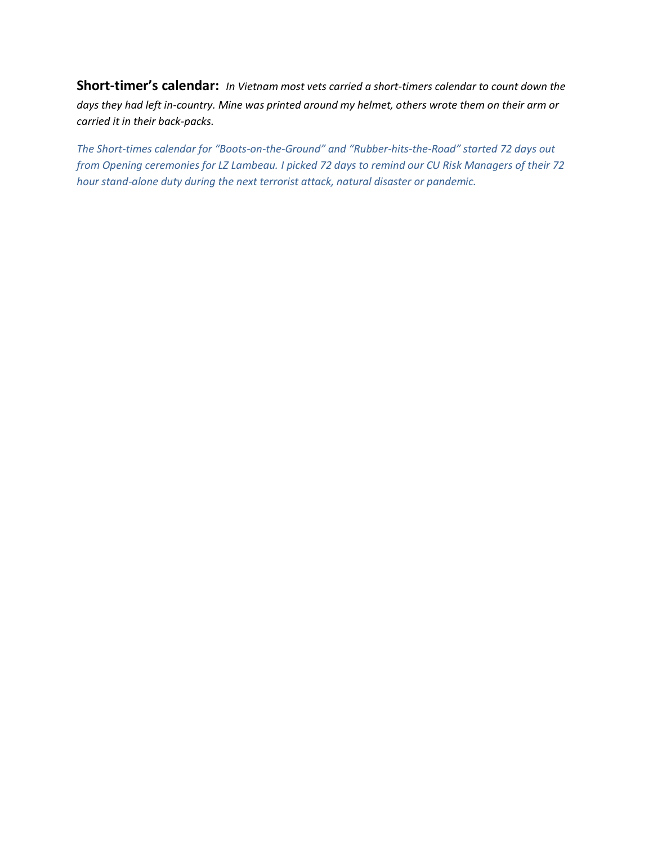**Short-timer's calendar:** *In Vietnam most vets carried a short-timers calendar to count down the days they had left in-country. Mine was printed around my helmet, others wrote them on their arm or carried it in their back-packs.* 

*The Short-times calendar for "Boots-on-the-Ground" and "Rubber-hits-the-Road" started 72 days out from Opening ceremonies for LZ Lambeau. I picked 72 days to remind our CU Risk Managers of their 72 hour stand-alone duty during the next terrorist attack, natural disaster or pandemic.*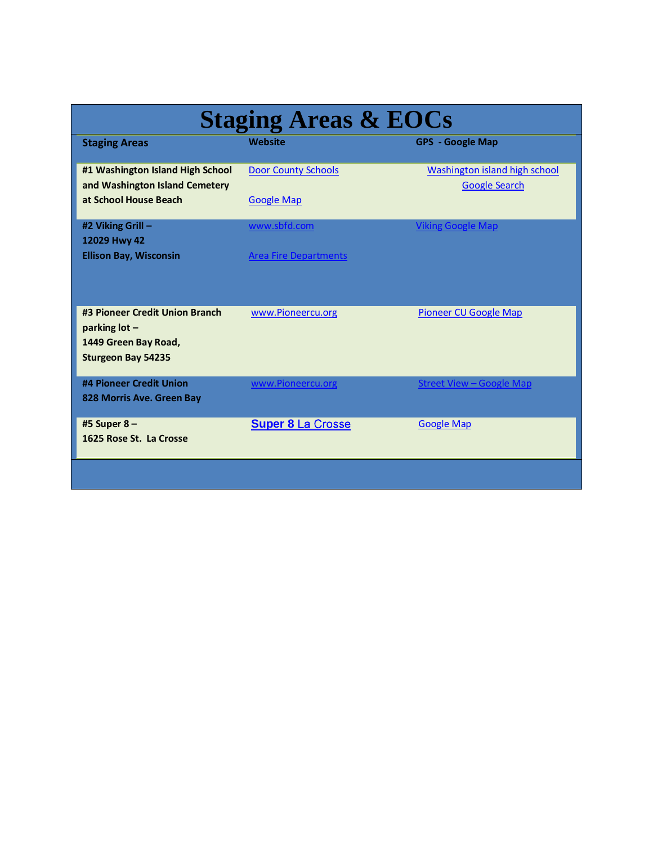| <b>Staging Areas &amp; EOCs</b>                                                                      |                                                 |                                                       |  |  |
|------------------------------------------------------------------------------------------------------|-------------------------------------------------|-------------------------------------------------------|--|--|
| <b>Staging Areas</b>                                                                                 | <b>Website</b>                                  | <b>GPS - Google Map</b>                               |  |  |
| #1 Washington Island High School<br>and Washington Island Cemetery<br>at School House Beach          | <b>Door County Schools</b><br><b>Google Map</b> | Washington island high school<br><b>Google Search</b> |  |  |
| #2 Viking Grill -<br>12029 Hwy 42<br><b>Ellison Bay, Wisconsin</b>                                   | www.sbfd.com<br><b>Area Fire Departments</b>    | <b>Viking Google Map</b>                              |  |  |
| #3 Pioneer Credit Union Branch<br>parking lot -<br>1449 Green Bay Road,<br><b>Sturgeon Bay 54235</b> | www.Pioneercu.org                               | <b>Pioneer CU Google Map</b>                          |  |  |
| #4 Pioneer Credit Union<br>828 Morris Ave. Green Bay                                                 | www.Pioneercu.org                               | <b>Street View-Google Map</b>                         |  |  |
| #5 Super 8-<br>1625 Rose St. La Crosse                                                               | <b>Super 8 La Crosse</b>                        | <b>Google Map</b>                                     |  |  |
|                                                                                                      |                                                 |                                                       |  |  |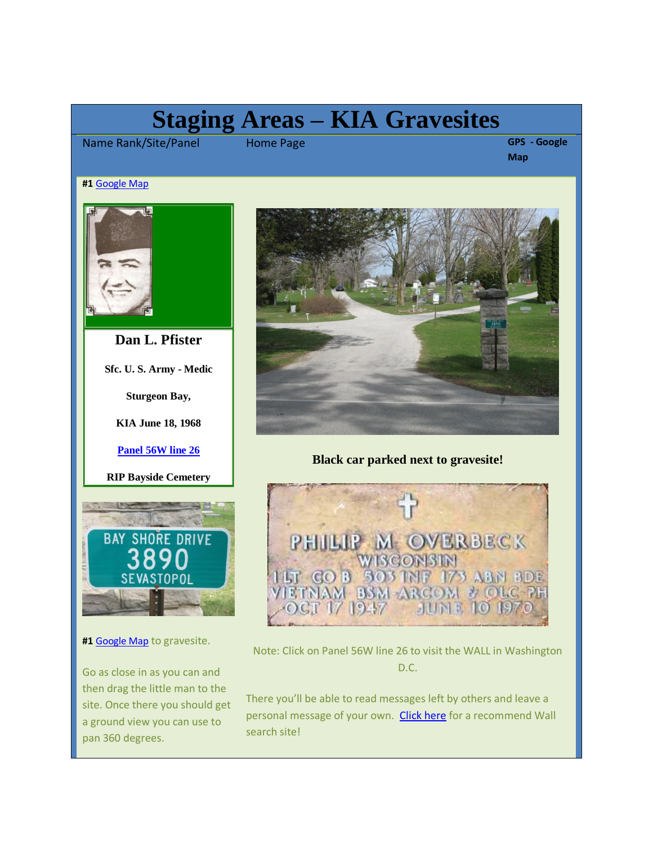# **Staging Areas – KIA Gravesites**

Name Rank/Site/Panel Home Page **GPS - Google** 

**Map**

#### **#1** [Google Map](http://maps.google.com/maps?hl=en&q=southern%20door%20county%20high%20school&um=1&ie=UTF-8&sa=N&tab=wl)



**Dan L. Pfister**

**Sfc. U. S. Army - Medic**

**Sturgeon Bay,**

**KIA June 18, 1968**

**[Panel 56W line 26](http://thewall-usa.com/info.asp?recid=40545)**





**#1** [Google Map](http://maps.google.com/maps?hl=en&q=southern%20door%20county%20high%20school&um=1&ie=UTF-8&sa=N&tab=wl) to gravesite.

Go as close in as you can and then drag the little man to the site. Once there you should get a ground view you can use to pan 360 degrees.



#### **Black car parked next to gravesite!**



Note: Click on Panel 56W line 26 to visit the WALL in Washington D.C.

There you'll be able to read messages left by others and leave a personal message of your own. [Click here](http://thewall-usa.com/) for a recommend Wall search site!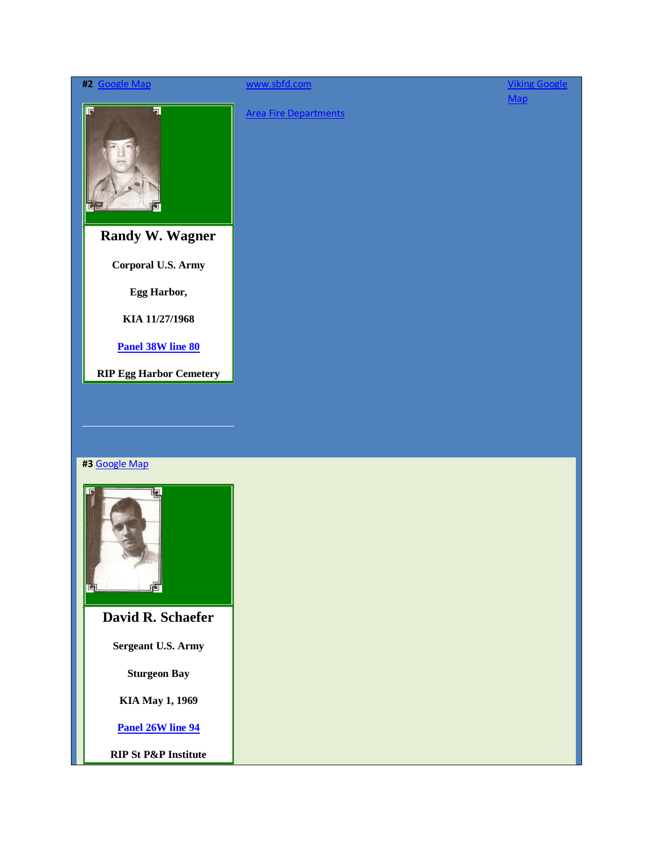| #2 Google Map                  | www.sbfd.com                 | <b>Viking Google</b> |
|--------------------------------|------------------------------|----------------------|
| $\overline{\mathbf{a}}$<br>同   | <b>Area Fire Departments</b> | $Map$                |
| <b>Randy W. Wagner</b>         |                              |                      |
| Corporal U.S. Army             |                              |                      |
| Egg Harbor,                    |                              |                      |
| KIA 11/27/1968                 |                              |                      |
| <b>Panel 38W line 80</b>       |                              |                      |
| <b>RIP Egg Harbor Cemetery</b> |                              |                      |
| #3 Google Map                  |                              |                      |
| Ē<br>Ŀ                         |                              |                      |
| David R. Schaefer              |                              |                      |
| <b>Sergeant U.S. Army</b>      |                              |                      |
| <b>Sturgeon Bay</b>            |                              |                      |
| <b>KIA May 1, 1969</b>         |                              |                      |
| Panel 26W line 94              |                              |                      |
|                                |                              |                      |

**RIP St P&P Institute**